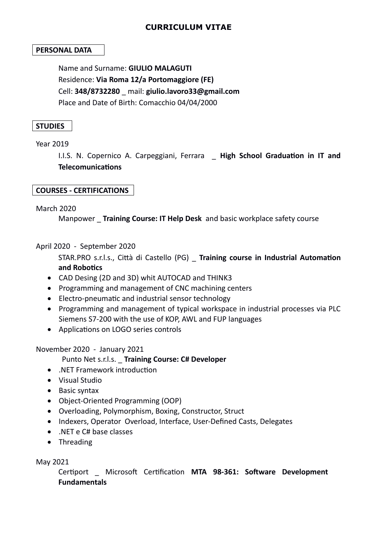# **CURRICULUM VITAE**

### **PERSONAL DATA**

Name and Surname: **GIULIO MALAGUTI** Residence: **Via Roma 12/a Portomaggiore (FE)** Cell: **348/8732280** \_ mail: **giulio.lavoro33@gmail.com** Place and Date of Birth: Comacchio 04/04/2000

#### **STUDIES**

#### Year 2019

I.I.S. N. Copernico A. Carpeggiani, Ferrara \_ **High School Graduation in IT and Telecomunications** 

### **COURSES - CERTIFICATIONS**

#### March 2020

Manpower \_ **Training Course: IT Help Desk** and basic workplace safety course

April 2020 - September 2020

STAR.PRO s.r.l.s., Città di Castello (PG) \_ **Training course in Industrial Automation and Robotics**

- CAD Desing (2D and 3D) whit AUTOCAD and THINK3
- Programming and management of CNC machining centers
- Electro-pneumatic and industrial sensor technology
- Programming and management of typical workspace in industrial processes via PLC Siemens S7-200 with the use of KOP, AWL and FUP languages
- Applications on LOGO series controls

### November 2020 - January 2021

### Punto Net s.r.l.s. \_ **Training Course: C# Developer**

- .NET Framework introduction
- Visual Studio
- Basic syntax
- Object-Oriented Programming (OOP)
- Overloading, Polymorphism, Boxing, Constructor, Struct
- Indexers, Operator Overload, Interface, User-Defined Casts, Delegates
- .NET e C# base classes
- Threading

### May 2021

Certiport \_ Microsoft Certification **MTA 98-361: Software Development Fundamentals**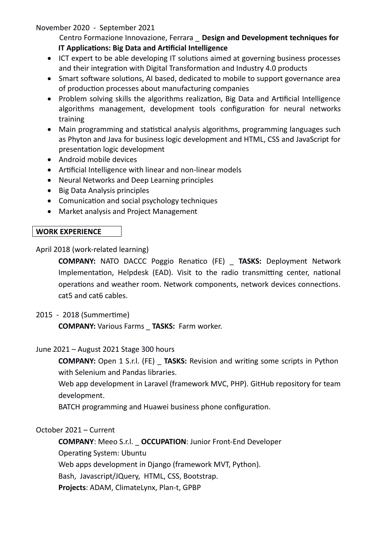## November 2020 - September 2021

 Centro Formazione Innovazione, Ferrara \_ **Design and Development techniques for IT Applications: Big Data and Artificial Intelligence**

- ICT expert to be able developing IT solutions aimed at governing business processes and their integration with Digital Transformation and Industry 4.0 products
- Smart software solutions, AI based, dedicated to mobile to support governance area of production processes about manufacturing companies
- Problem solving skills the algorithms realization, Big Data and Artificial Intelligence algorithms management, development tools configuration for neural networks training
- Main programming and statistical analysis algorithms, programming languages such as Phyton and Java for business logic development and HTML, CSS and JavaScript for presentation logic development
- Android mobile devices
- Artificial Intelligence with linear and non-linear models
- Neural Networks and Deep Learning principles
- Big Data Analysis principles
- Comunication and social psychology techniques
- Market analysis and Project Management

# **WORK EXPERIENCE**

April 2018 (work-related learning)

**COMPANY:** NATO DACCC Poggio Renatico (FE) \_ **TASKS:** Deployment Network Implementation, Helpdesk (EAD). Visit to the radio transmitting center, national operations and weather room. Network components, network devices connections. cat5 and cat6 cables.

## 2015 - 2018 (Summertime)

**COMPANY:** Various Farms \_ **TASKS:** Farm worker.

## June 2021 – August 2021 Stage 300 hours

**COMPANY:** Open 1 S.r.l. (FE) **TASKS:** Revision and writing some scripts in Python with Selenium and Pandas libraries.

Web app development in Laravel (framework MVC, PHP). GitHub repository for team development.

BATCH programming and Huawei business phone configuration.

## October 2021 – Current

**COMPANY**: Meeo S.r.l. \_ **OCCUPATION**: Junior Front-End Developer Operating System: Ubuntu Web apps development in Django (framework MVT, Python). Bash, Javascript/JQuery, HTML, CSS, Bootstrap. **Projects**: ADAM, ClimateLynx, Plan-t, GPBP